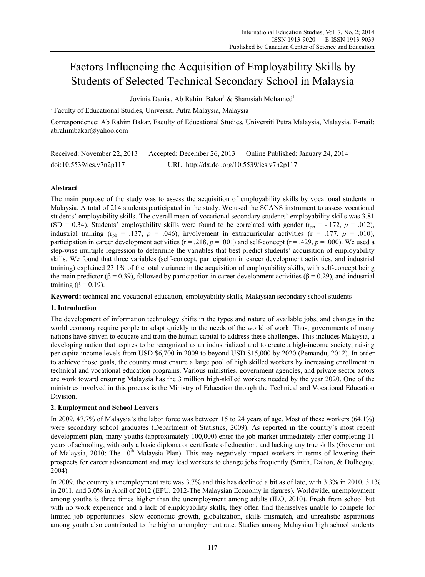# Factors Influencing the Acquisition of Employability Skills by Students of Selected Technical Secondary School in Malaysia

Jovinia Dania<sup>1</sup>, Ab Rahim Bakar<sup>1</sup> & Shamsiah Mohamed<sup>1</sup>

<sup>1</sup> Faculty of Educational Studies, Universiti Putra Malaysia, Malaysia

Correspondence: Ab Rahim Bakar, Faculty of Educational Studies, Universiti Putra Malaysia, Malaysia. E-mail: abrahimbakar@yahoo.com

Received: November 22, 2013 Accepted: December 26, 2013 Online Published: January 24, 2014 doi:10.5539/ies.v7n2p117 URL: http://dx.doi.org/10.5539/ies.v7n2p117

# **Abstract**

The main purpose of the study was to assess the acquisition of employability skills by vocational students in Malaysia. A total of 214 students participated in the study. We used the SCANS instrument to assess vocational students' employability skills. The overall mean of vocational secondary students' employability skills was 3.81 (SD = 0.34). Students' employability skills were found to be correlated with gender ( $r_{\text{pb}}$  = -.172,  $p = .012$ ), industrial training  $(r_{\text{pb}} = .137, p = .046)$ , involvement in extracurricular activities (r = .177, p = .010), participation in career development activities ( $r = .218$ ,  $p = .001$ ) and self-concept ( $r = .429$ ,  $p = .000$ ). We used a step-wise multiple regression to determine the variables that best predict students' acquisition of employability skills. We found that three variables (self-concept, participation in career development activities, and industrial training) explained 23.1% of the total variance in the acquisition of employability skills, with self-concept being the main predictor ( $\beta = 0.39$ ), followed by participation in career development activities ( $\beta = 0.29$ ), and industrial training ( $β = 0.19$ ).

**Keyword:** technical and vocational education, employability skills, Malaysian secondary school students

# **1. Introduction**

The development of information technology shifts in the types and nature of available jobs, and changes in the world economy require people to adapt quickly to the needs of the world of work. Thus, governments of many nations have striven to educate and train the human capital to address these challenges. This includes Malaysia, a developing nation that aspires to be recognized as an industrialized and to create a high-income society, raising per capita income levels from USD \$6,700 in 2009 to beyond USD \$15,000 by 2020 (Pemandu, 2012). In order to achieve those goals, the country must ensure a large pool of high skilled workers by increasing enrollment in technical and vocational education programs. Various ministries, government agencies, and private sector actors are work toward ensuring Malaysia has the 3 million high-skilled workers needed by the year 2020. One of the ministries involved in this process is the Ministry of Education through the Technical and Vocational Education Division.

# **2. Employment and School Leavers**

In 2009, 47.7% of Malaysia's the labor force was between 15 to 24 years of age. Most of these workers (64.1%) were secondary school graduates (Department of Statistics, 2009). As reported in the country's most recent development plan, many youths (approximately 100,000) enter the job market immediately after completing 11 years of schooling, with only a basic diploma or certificate of education, and lacking any true skills (Government of Malaysia, 2010: The 10<sup>th</sup> Malaysia Plan). This may negatively impact workers in terms of lowering their prospects for career advancement and may lead workers to change jobs frequently (Smith, Dalton, & Dolheguy, 2004).

In 2009, the country's unemployment rate was 3.7% and this has declined a bit as of late, with 3.3% in 2010, 3.1% in 2011, and 3.0% in April of 2012 (EPU, 2012-The Malaysian Economy in figures). Worldwide, unemployment among youths is three times higher than the unemployment among adults (ILO, 2010). Fresh from school but with no work experience and a lack of employability skills, they often find themselves unable to compete for limited job opportunities. Slow economic growth, globalization, skills mismatch, and unrealistic aspirations among youth also contributed to the higher unemployment rate. Studies among Malaysian high school students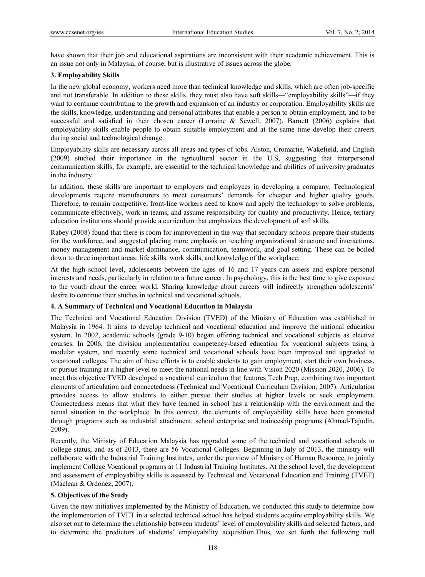have shown that their job and educational aspirations are inconsistent with their academic achievement. This is an issue not only in Malaysia, of course, but is illustrative of issues across the globe.

## **3. Employability Skills**

In the new global economy, workers need more than technical knowledge and skills, which are often job-specific and not transferable. In addition to these skills, they must also have soft skills—"employability skills"—if they want to continue contributing to the growth and expansion of an industry or corporation. Employability skills are the skills, knowledge, understanding and personal attributes that enable a person to obtain employment, and to be successful and satisfied in their chosen career (Lorraine & Sewell, 2007). Barnett (2006) explains that employability skills enable people to obtain suitable employment and at the same time develop their careers during social and technological change.

Employability skills are necessary across all areas and types of jobs. Alston, Cromartie, Wakefield, and English (2009) studied their importance in the agricultural sector in the U.S, suggesting that interpersonal communication skills, for example, are essential to the technical knowledge and abilities of university graduates in the industry.

In addition, these skills are important to employers and employees in developing a company. Technological developments require manufacturers to meet consumers' demands for cheaper and higher quality goods. Therefore, to remain competitive, front-line workers need to know and apply the technology to solve problems, communicate effectively, work in teams, and assume responsibility for quality and productivity. Hence, tertiary education institutions should provide a curriculum that emphasizes the development of soft skills.

Rabey (2008) found that there is room for improvement in the way that secondary schools prepare their students for the workforce, and suggested placing more emphasis on teaching organizational structure and interactions, money management and market dominance, communication, teamwork, and goal setting. These can be boiled down to three important areas: life skills, work skills, and knowledge of the workplace.

At the high school level, adolescents between the ages of 16 and 17 years can assess and explore personal interests and needs, particularly in relation to a future career. In psychology, this is the best time to give exposure to the youth about the career world. Sharing knowledge about careers will indirectly strengthen adolescents' desire to continue their studies in technical and vocational schools.

# **4. A Summary of Technical and Vocational Education in Malaysia**

The Technical and Vocational Education Division (TVED) of the Ministry of Education was established in Malaysia in 1964. It aims to develop technical and vocational education and improve the national education system. In 2002, academic schools (grade 9-10) began offering technical and vocational subjects as elective courses. In 2006, the division implementation competency-based education for vocational subjects using a modular system, and recently some technical and vocational schools have been improved and upgraded to vocational colleges. The aim of these efforts is to enable students to gain employment, start their own business, or pursue training at a higher level to meet the national needs in line with Vision 2020 (Mission 2020, 2006). To meet this objective TVED developed a vocational curriculum that features Tech Prep, combining two important elements of articulation and connectedness (Technical and Vocational Curriculum Division, 2007). Articulation provides access to allow students to either pursue their studies at higher levels or seek employment. Connectedness means that what they have learned in school has a relationship with the environment and the actual situation in the workplace. In this context, the elements of employability skills have been promoted through programs such as industrial attachment, school enterprise and traineeship programs (Ahmad-Tajudin, 2009).

Recently, the Ministry of Education Malaysia has upgraded some of the technical and vocational schools to college status, and as of 2013, there are 56 Vocational Colleges. Beginning in July of 2013, the ministry will collaborate with the Industrial Training Institutes, under the purview of Ministry of Human Resource, to jointly implement College Vocational programs at 11 Industrial Training Institutes. At the school level, the development and assessment of employability skills is assessed by Technical and Vocational Education and Training (TVET) (Maclean & Ordonez, 2007).

# **5. Objectives of the Study**

Given the new initiatives implemented by the Ministry of Education, we conducted this study to determine how the implementation of TVET in a selected technical school has helped students acquire employability skills. We also set out to determine the relationship between students' level of employability skills and selected factors, and to determine the predictors of students' employability acquisition.Thus, we set forth the following null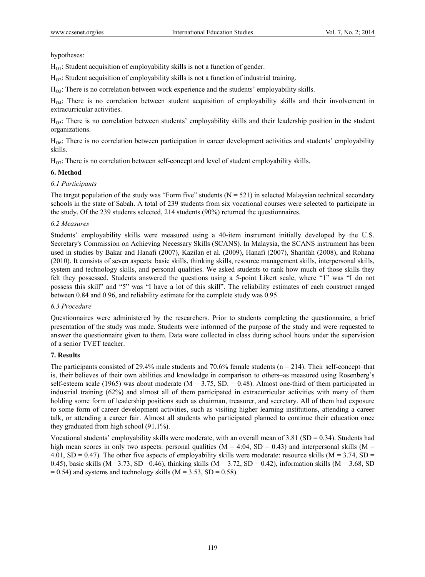## hypotheses:

 $H<sub>01</sub>$ : Student acquisition of employability skills is not a function of gender.

 $H_{\text{O2}}$ : Student acquisition of employability skills is not a function of industrial training.

H<sub>O3</sub>: There is no correlation between work experience and the students' employability skills.

HO4: There is no correlation between student acquisition of employability skills and their involvement in extracurricular activities.

HO5: There is no correlation between students' employability skills and their leadership position in the student organizations.

HO6: There is no correlation between participation in career development activities and students' employability skills.

 $H_{07}$ : There is no correlation between self-concept and level of student employability skills.

## **6. Method**

#### *6.1 Participants*

The target population of the study was "Form five" students  $(N = 521)$  in selected Malaysian technical secondary schools in the state of Sabah. A total of 239 students from six vocational courses were selected to participate in the study. Of the 239 students selected, 214 students (90%) returned the questionnaires.

#### *6.2 Measures*

Students' employability skills were measured using a 40-item instrument initially developed by the U.S. Secretary's Commission on Achieving Necessary Skills (SCANS). In Malaysia, the SCANS instrument has been used in studies by Bakar and Hanafi (2007), Kazilan et al. (2009), Hanafi (2007), Sharifah (2008), and Rohana (2010). It consists of seven aspects: basic skills, thinking skills, resource management skills, interpersonal skills, system and technology skills, and personal qualities. We asked students to rank how much of those skills they felt they possessed. Students answered the questions using a 5-point Likert scale, where "1" was "I do not possess this skill" and "5" was "I have a lot of this skill". The reliability estimates of each construct ranged between 0.84 and 0.96, and reliability estimate for the complete study was 0.95.

# *6.3 Procedure*

Questionnaires were administered by the researchers. Prior to students completing the questionnaire, a brief presentation of the study was made. Students were informed of the purpose of the study and were requested to answer the questionnaire given to them. Data were collected in class during school hours under the supervision of a senior TVET teacher.

## **7. Results**

The participants consisted of 29.4% male students and 70.6% female students ( $n = 214$ ). Their self-concept–that is, their believes of their own abilities and knowledge in comparison to others–as measured using Rosenberg's self-esteem scale (1965) was about moderate ( $M = 3.75$ , SD. = 0.48). Almost one-third of them participated in industrial training (62%) and almost all of them participated in extracurricular activities with many of them holding some form of leadership positions such as chairman, treasurer, and secretary. All of them had exposure to some form of career development activities, such as visiting higher learning institutions, attending a career talk, or attending a career fair. Almost all students who participated planned to continue their education once they graduated from high school (91.1%).

Vocational students' employability skills were moderate, with an overall mean of  $3.81$  (SD = 0.34). Students had high mean scores in only two aspects: personal qualities ( $M = 4:04$ ,  $SD = 0.43$ ) and interpersonal skills ( $M =$ 4.01, SD = 0.47). The other five aspects of employability skills were moderate: resource skills ( $M = 3.74$ , SD = 0.45), basic skills (M = 3.73, SD = 0.46), thinking skills (M = 3.72, SD = 0.42), information skills (M = 3.68, SD  $= 0.54$ ) and systems and technology skills (M = 3.53, SD = 0.58).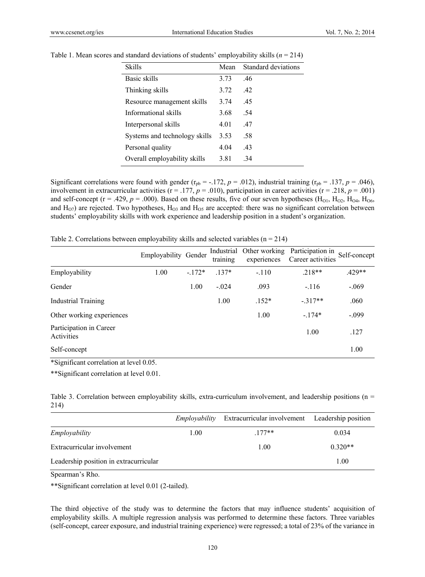| Skills                        | Mean  | Standard deviations |
|-------------------------------|-------|---------------------|
| Basic skills                  | 3.73  | -46                 |
| Thinking skills               | 3.72  | 42                  |
| Resource management skills    | 3.74  | -45                 |
| Informational skills          | 3.68  | -54                 |
| Interpersonal skills          | 4 0 1 | 47                  |
| Systems and technology skills | 3.53  | .58                 |
| Personal quality              | 4.04  | .43                 |
| Overall employability skills  | 3.81  | -34                 |

Table 1. Mean scores and standard deviations of students' employability skills  $(n = 214)$ 

Significant correlations were found with gender ( $r_{pb} = -.172$ ,  $p = .012$ ), industrial training ( $r_{pb} = .137$ ,  $p = .046$ ), involvement in extracurricular activities ( $r = .177$ ,  $p = .010$ ), participation in career activities ( $r = .218$ ,  $p = .001$ ) and self-concept ( $r = .429$ ,  $p = .000$ ). Based on these results, five of our seven hypotheses ( $H_{01}$ ,  $H_{02}$ ,  $H_{04}$ ,  $H_{06}$ , and  $H<sub>07</sub>$ ) are rejected. Two hypotheses,  $H<sub>03</sub>$  and  $H<sub>05</sub>$  are accepted: there was no significant correlation between students' employability skills with work experience and leadership position in a student's organization.

|                                       | Employability Gender |         | Industrial<br>training | Other working<br>experiences | Participation in<br>Career activities | Self-concept |
|---------------------------------------|----------------------|---------|------------------------|------------------------------|---------------------------------------|--------------|
| Employability                         | 1.00                 | $-172*$ | $.137*$                | $-.110$                      | $.218**$                              | .429**       |
| Gender                                |                      | 1.00    | $-.024$                | .093                         | $-.116$                               | $-.069$      |
| <b>Industrial Training</b>            |                      |         | 1.00                   | $.152*$                      | $-317**$                              | .060         |
| Other working experiences             |                      |         |                        | 1.00                         | $-174*$                               | $-.099$      |
| Participation in Career<br>Activities |                      |         |                        |                              | 1.00                                  | .127         |
| Self-concept                          |                      |         |                        |                              |                                       | 1.00         |

Table 2. Correlations between employability skills and selected variables ( $n = 214$ )

\*Significant correlation at level 0.05.

\*\*Significant correlation at level 0.01.

Table 3. Correlation between employability skills, extra-curriculum involvement, and leadership positions (n = 214)

|                                        | Employability | Extracurricular involvement Leadership position |           |
|----------------------------------------|---------------|-------------------------------------------------|-----------|
| Employability                          | 1.00          | $177**$                                         | 0.034     |
| Extracurricular involvement            |               | 1.00                                            | $0.320**$ |
| Leadership position in extracurricular |               |                                                 | 1.00      |

Spearman's Rho.

\*\*Significant correlation at level 0.01 (2-tailed).

The third objective of the study was to determine the factors that may influence students' acquisition of employability skills. A multiple regression analysis was performed to determine these factors. Three variables (self-concept, career exposure, and industrial training experience) were regressed; a total of 23% of the variance in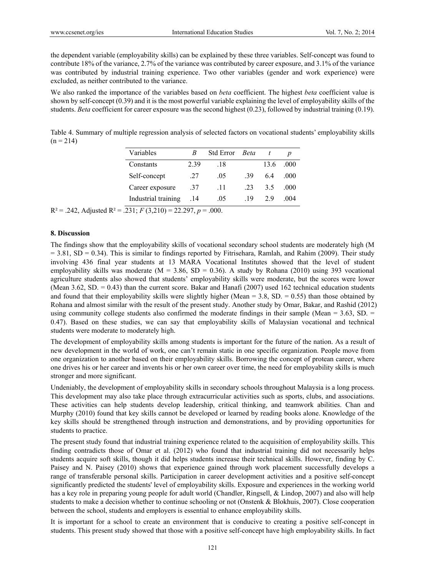the dependent variable (employability skills) can be explained by these three variables. Self-concept was found to contribute 18% of the variance, 2.7% of the variance was contributed by career exposure, and 3.1% of the variance was contributed by industrial training experience. Two other variables (gender and work experience) were excluded, as neither contributed to the variance.

We also ranked the importance of the variables based on *beta* coefficient. The highest *beta* coefficient value is shown by self-concept (0.39) and it is the most powerful variable explaining the level of employability skills of the students. *Beta* coefficient for career exposure was the second highest (0.23), followed by industrial training (0.19).

Table 4. Summary of multiple regression analysis of selected factors on vocational students' employability skills  $(n = 214)$ 

| Variables           | B    | <b>Std Error</b> | Beta |      | D    |
|---------------------|------|------------------|------|------|------|
| Constants           | 2.39 | .18              |      | 13.6 | .000 |
| Self-concept        | .27  | .05              | -39  | 64   | .000 |
| Career exposure     | .37  | .11              | 23   | 3.5  | .000 |
| Industrial training | .14  | .05              | -19  | 29   | -004 |

 $R^2 = .242$ , Adjusted  $R^2 = .231$ ;  $F(3,210) = 22.297$ ,  $p = .000$ .

## **8. Discussion**

The findings show that the employability skills of vocational secondary school students are moderately high (M  $= 3.81$ , SD = 0.34). This is similar to findings reported by Fitrisehara, Ramlah, and Rahim (2009). Their study involving 436 final year students at 13 MARA Vocational Institutes showed that the level of student employability skills was moderate ( $M = 3.86$ ,  $SD = 0.36$ ). A study by Rohana (2010) using 393 vocational agriculture students also showed that students' employability skills were moderate, but the scores were lower (Mean 3.62, SD. = 0.43) than the current score. Bakar and Hanafi (2007) used 162 technical education students and found that their employability skills were slightly higher (Mean = 3.8, SD. = 0.55) than those obtained by Rohana and almost similar with the result of the present study. Another study by Omar, Bakar, and Rashid (2012) using community college students also confirmed the moderate findings in their sample (Mean =  $3.63$ , SD. = 0.47). Based on these studies, we can say that employability skills of Malaysian vocational and technical students were moderate to moderately high.

The development of employability skills among students is important for the future of the nation. As a result of new development in the world of work, one can't remain static in one specific organization. People move from one organization to another based on their employability skills. Borrowing the concept of protean career, where one drives his or her career and invents his or her own career over time, the need for employability skills is much stronger and more significant.

Undeniably, the development of employability skills in secondary schools throughout Malaysia is a long process. This development may also take place through extracurricular activities such as sports, clubs, and associations. These activities can help students develop leadership, critical thinking, and teamwork abilities. Chan and Murphy (2010) found that key skills cannot be developed or learned by reading books alone. Knowledge of the key skills should be strengthened through instruction and demonstrations, and by providing opportunities for students to practice.

The present study found that industrial training experience related to the acquisition of employability skills. This finding contradicts those of Omar et al. (2012) who found that industrial training did not necessarily helps students acquire soft skills, though it did helps students increase their technical skills. However, finding by C. Paisey and N. Paisey (2010) shows that experience gained through work placement successfully develops a range of transferable personal skills. Participation in career development activities and a positive self-concept significantly predicted the students' level of employability skills. Exposure and experiences in the working world has a key role in preparing young people for adult world (Chandler, Ringsell, & Lindop, 2007) and also will help students to make a decision whether to continue schooling or not (Onstenk & Blokhuis, 2007). Close cooperation between the school, students and employers is essential to enhance employability skills.

It is important for a school to create an environment that is conducive to creating a positive self-concept in students. This present study showed that those with a positive self-concept have high employability skills. In fact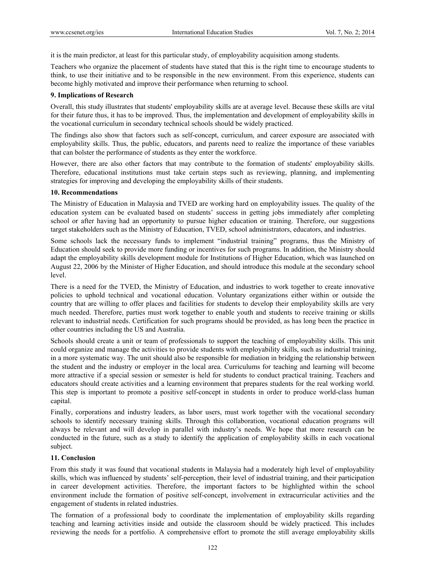it is the main predictor, at least for this particular study, of employability acquisition among students.

Teachers who organize the placement of students have stated that this is the right time to encourage students to think, to use their initiative and to be responsible in the new environment. From this experience, students can become highly motivated and improve their performance when returning to school.

## **9. Implications of Research**

Overall, this study illustrates that students' employability skills are at average level. Because these skills are vital for their future thus, it has to be improved. Thus, the implementation and development of employability skills in the vocational curriculum in secondary technical schools should be widely practiced.

The findings also show that factors such as self-concept, curriculum, and career exposure are associated with employability skills. Thus, the public, educators, and parents need to realize the importance of these variables that can bolster the performance of students as they enter the workforce.

However, there are also other factors that may contribute to the formation of students' employability skills. Therefore, educational institutions must take certain steps such as reviewing, planning, and implementing strategies for improving and developing the employability skills of their students.

## **10. Recommendations**

The Ministry of Education in Malaysia and TVED are working hard on employability issues. The quality of the education system can be evaluated based on students' success in getting jobs immediately after completing school or after having had an opportunity to pursue higher education or training. Therefore, our suggestions target stakeholders such as the Ministry of Education, TVED, school administrators, educators, and industries.

Some schools lack the necessary funds to implement "industrial training" programs, thus the Ministry of Education should seek to provide more funding or incentives for such programs. In addition, the Ministry should adapt the employability skills development module for Institutions of Higher Education, which was launched on August 22, 2006 by the Minister of Higher Education, and should introduce this module at the secondary school level.

There is a need for the TVED, the Ministry of Education, and industries to work together to create innovative policies to uphold technical and vocational education. Voluntary organizations either within or outside the country that are willing to offer places and facilities for students to develop their employability skills are very much needed. Therefore, parties must work together to enable youth and students to receive training or skills relevant to industrial needs. Certification for such programs should be provided, as has long been the practice in other countries including the US and Australia.

Schools should create a unit or team of professionals to support the teaching of employability skills. This unit could organize and manage the activities to provide students with employability skills, such as industrial training, in a more systematic way. The unit should also be responsible for mediation in bridging the relationship between the student and the industry or employer in the local area. Curriculums for teaching and learning will become more attractive if a special session or semester is held for students to conduct practical training. Teachers and educators should create activities and a learning environment that prepares students for the real working world. This step is important to promote a positive self-concept in students in order to produce world-class human capital.

Finally, corporations and industry leaders, as labor users, must work together with the vocational secondary schools to identify necessary training skills. Through this collaboration, vocational education programs will always be relevant and will develop in parallel with industry's needs. We hope that more research can be conducted in the future, such as a study to identify the application of employability skills in each vocational subject.

## **11. Conclusion**

From this study it was found that vocational students in Malaysia had a moderately high level of employability skills, which was influenced by students' self-perception, their level of industrial training, and their participation in career development activities. Therefore, the important factors to be highlighted within the school environment include the formation of positive self-concept, involvement in extracurricular activities and the engagement of students in related industries.

The formation of a professional body to coordinate the implementation of employability skills regarding teaching and learning activities inside and outside the classroom should be widely practiced. This includes reviewing the needs for a portfolio. A comprehensive effort to promote the still average employability skills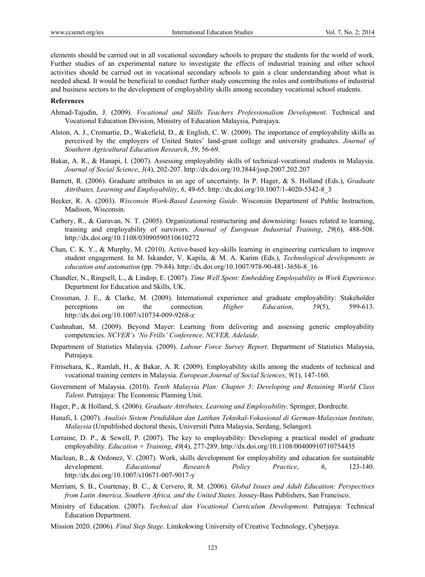elements should be carried out in all vocational secondary schools to prepare the students for the world of work. Further studies of an experimental nature to investigate the effects of industrial training and other school activities should be carried out in vocational secondary schools to gain a clear understanding about what is needed ahead. It would be beneficial to conduct further study concerning the roles and contributions of industrial and business sectors to the development of employability skills among secondary vocational school students.

#### **References**

- Ahmad-Tajudin, J. (2009). *Vocational and Skills Teachers Professionalism Development*. Technical and Vocational Education Division, Ministry of Education Malaysia, Putrajaya.
- Alston, A. J., Cromartie, D., Wakefield, D., & English, C. W. (2009). The importance of employability skills as perceived by the employers of United States' land-grant college and university graduates. *Journal of Southern Agricultural Education Research*, *59*, 56-69.
- Bakar, A. R., & Hanapi, I. (2007). Assessing employability skills of technical-vocational students in Malaysia. *Journal of Social Science*, *3*(4), 202-207. http://dx.doi.org/10.3844/jssp.2007.202.207
- Barnett, R. (2006). Graduate attributes in an age of uncertainty. In P. Hager, & S. Holland (Eds.), *Graduate Attributes, Learning and Employability*, *6*, 49-65. http://dx.doi.org/10.1007/1-4020-5342-8\_3
- Becker, R. A. (2003). *Wisconsin Work-Based Learning Guide*. Wisconsin Department of Public Instruction, Madison, Wisconsin.
- Carbery, R., & Garavan, N. T. (2005). Organizational restructuring and downsizing: Issues related to learning, training and employability of survivors. *Journal of European Industrial Training*, *29*(6), 488-508. http://dx.doi.org/10.1108/03090590510610272
- Chan, C. K. Y., & Murphy, M. (2010). Active-based key-skills learning in engineering curriculum to improve student engagement. In M. Iskander, V. Kapila, & M. A. Karim (Eds.), *Technological developments in education and automation* (pp. 79-84). http://dx.doi.org/10.1007/978-90-481-3656-8\_16
- Chandler, N., Ringsell, L., & Lindop, E. (2007). *Time Well Spent: Embedding Employability in Work Experience*. Department for Education and Skills, UK.
- Crossman, J. E., & Clarke, M. (2009). International experience and graduate employability: Stakeholder perceptions on the connection*. Higher Education*, *59*(5), 599-613. http://dx.doi.org/10.1007/s10734-009-9268-z
- Cushnahan, M. (2009). Beyond Mayer: Learning from delivering and assessing generic employability competencies. *NCVER's 'No Frills' Conference, NCVER, Adelaide*.
- Department of Statistics Malaysia. (2009). *Labour Force Survey Report*. Department of Statistics Malaysia, Putrajaya.
- Fitrisehara, K., Ramlah, H., & Bakar, A. R. (2009). Employability skills among the students of technical and vocational training centers in Malaysia. *European Journal of Social Sciences*, *9*(1), 147-160.
- Government of Malaysia. (2010). *Tenth Malaysia Plan: Chapter 5: Developing and Retaining World Class Talent*. Putrajaya: The Economic Planning Unit.
- Hager, P., & Holland, S. (2006). *Graduate Attributes, Learning and Employability*. Springer, Dordrecht.
- Hanafi, I. (2007). *Analisis Sistem Pendidikan dan Latihan Teknikal-Vokasional di German-Malaysian Institute, Malaysia* (Unpublished doctoral thesis, Universiti Putra Malaysia, Serdang, Selangor).
- Lorraine, D. P., & Sewell, P. (2007). The key to employability: Developing a practical model of graduate employability. *Education + Training*, *49*(4), 277-289. http://dx.doi.org/10.1108/00400910710754435
- Maclean, R., & Ordonez, V. (2007). Work, skills development for employability and education for sustainable development. *Educational Research Policy Practice*, *6*, 123-140. http://dx.doi.org/10.1007/s10671-007-9017-y
- Merriam, S. B., Courtenay, B. C., & Cervero, R. M. (2006). *Global Issues and Adult Education: Perspectives from Latin America, Southern Africa, and the United States*. Jossey-Bass Publishers, San Francisco.
- Ministry of Education. (2007). *Technical dan Vocational Curriculum Development*. Putrajaya: Technical Education Department.
- Mission 2020. (2006). *Final Step Stage*. Limkokwing University of Creative Technology, Cyberjaya.